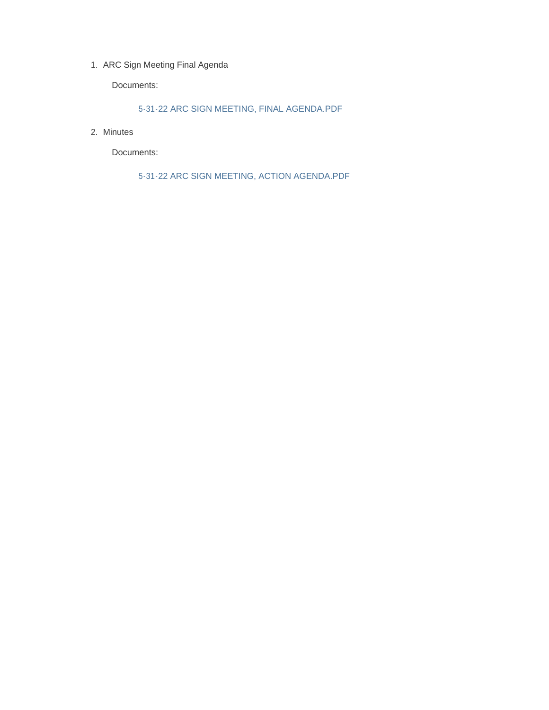1. ARC Sign Meeting Final Agenda

Documents:

5-31-22 ARC SIGN MEETING, FINAL AGENDA.PDF

2. Minutes

Documents:

5-31-22 ARC SIGN MEETING, ACTION AGENDA.PDF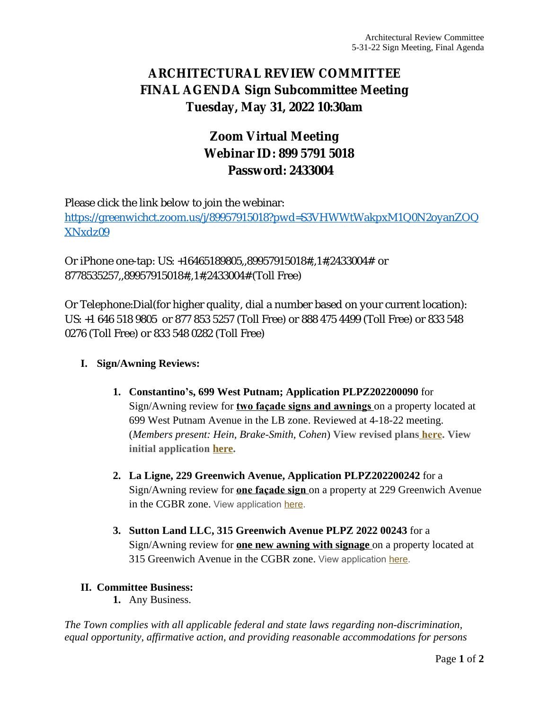# **ARCHITECTURAL REVIEW COMMITTEE FINAL AGENDA Sign Subcommittee Meeting Tuesday, May 31, 2022 10:30am**

# **Zoom Virtual Meeting Webinar ID: 899 5791 5018 Password: 2433004**

Please click the link below to join the webinar: [https://greenwichct.zoom.us/j/89957915018?pwd=S3VHWWtWakpxM1Q0N2oyanZOQ](https://greenwichct.zoom.us/j/89957915018?pwd=S3VHWWtWakpxM1Q0N2oyanZOQXNxdz09) XNxdz09

Or iPhone one-tap: US: +16465189805,,89957915018#,,1#,2433004# or 8778535257,,89957915018#,,1#,2433004# (Toll Free)

Or Telephone:Dial(for higher quality, dial a number based on your current location): US: +1 646 518 9805 or 877 853 5257 (Toll Free) or 888 475 4499 (Toll Free) or 833 548 0276 (Toll Free) or 833 548 0282 (Toll Free)

### **I. Sign/Awning Reviews:**

- **1. Constantino's, 699 West Putnam; Application PLPZ202200090** for Sign/Awning review for **two façade signs and awnings** on a property located at 699 West Putnam Avenue in the LB zone. Reviewed at 4-18-22 meeting. (*Members present: Hein, Brake-Smith, Cohen*) **View revised plans [here](https://www.greenwichct.gov/DocumentCenter/View/31281/699-WPA---PLPZ-202200090-revised-). View initial application [here.](https://www.greenwichct.gov/DocumentCenter/View/30547/ARC-SA-699-WEST-PUTNAM-AVENUE-GREENWICH-CT-PLPZ202200090)**
- **2. La Ligne, 229 Greenwich Avenue, Application PLPZ202200242** for a Sign/Awning review for **one façade sign** on a property at 229 Greenwich Avenue in the CGBR zone. View application [here](https://www.greenwichct.gov/DocumentCenter/View/31283/229-Greenwich-Avenue---PLPZ-202200242).
- **3. Sutton Land LLC, 315 Greenwich Avenue PLPZ 2022 00243** for a Sign/Awning review for **one new awning with signage** on a property located at 315 Greenwich Avenue in the CGBR zone. View application [here.](https://www.greenwichct.gov/DocumentCenter/View/31284/315-Greenwich-Avenue---PLPZ202200243)

### **II. [Committee Business:](https://www.greenwichct.gov/DocumentCenter/View/31284/315-Greenwich-Avenue---PLPZ202200243)**

**1.** [Any Business.](https://www.greenwichct.gov/DocumentCenter/View/31284/315-Greenwich-Avenue---PLPZ202200243)

*[The Town complies with all applicable federal and state laws regarding non-discrimination,](https://www.greenwichct.gov/DocumentCenter/View/31284/315-Greenwich-Avenue---PLPZ202200243)  [equal opportunity, affirmative action, and providing reasonable accommodations for persons](https://www.greenwichct.gov/DocumentCenter/View/31284/315-Greenwich-Avenue---PLPZ202200243)*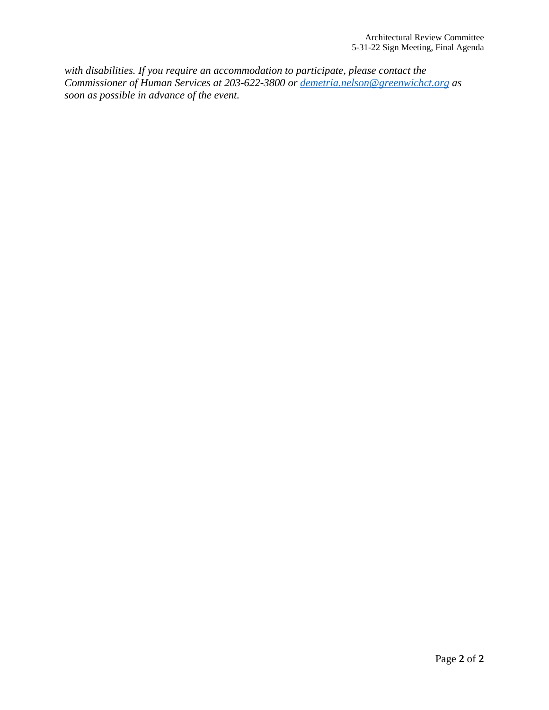*with disabilities. If you require an accommodation to participate, please contact the Commissioner of Human Services at 203-622-3800 or [demetria.nelson@greenwichct.org](mailto:demetria.nelson@greenwichct.org) as soon as possible in advance of the event.*